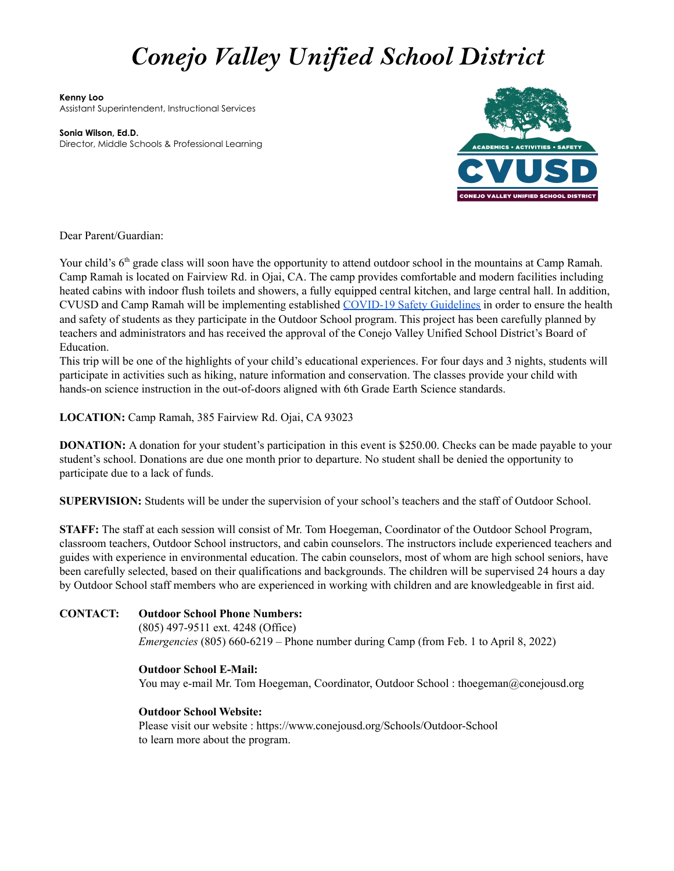# *Conejo Valley Unified School District*

**Kenny Loo** Assistant Superintendent, Instructional Services

**Sonia Wilson, Ed.D.** Director, Middle Schools & Professional Learning



Dear Parent/Guardian:

Your child's 6<sup>th</sup> grade class will soon have the opportunity to attend outdoor school in the mountains at Camp Ramah. Camp Ramah is located on Fairview Rd. in Ojai, CA. The camp provides comfortable and modern facilities including heated cabins with indoor flush toilets and showers, a fully equipped central kitchen, and large central hall. In addition, CVUSD and Camp Ramah will be implementing established [COVID-19 Safety Guidelines](https://www.conejousd.org/Portals/0/pdfs/2021/CVUSD%20Outdoor%20School%20COVID-19%20Safety%20Guidelines.pdf?ver=2021-11-29-103138-807) in order to ensure the health and safety of students as they participate in the Outdoor School program. This project has been carefully planned by teachers and administrators and has received the approval of the Conejo Valley Unified School District's Board of Education.

This trip will be one of the highlights of your child's educational experiences. For four days and 3 nights, students will participate in activities such as hiking, nature information and conservation. The classes provide your child with hands-on science instruction in the out-of-doors aligned with 6th Grade Earth Science standards.

**LOCATION:** Camp Ramah, 385 Fairview Rd. Ojai, CA 93023

**DONATION:** A donation for your student's participation in this event is \$250.00. Checks can be made payable to your student's school. Donations are due one month prior to departure. No student shall be denied the opportunity to participate due to a lack of funds.

**SUPERVISION:** Students will be under the supervision of your school's teachers and the staff of Outdoor School.

**STAFF:** The staff at each session will consist of Mr. Tom Hoegeman, Coordinator of the Outdoor School Program, classroom teachers, Outdoor School instructors, and cabin counselors. The instructors include experienced teachers and guides with experience in environmental education. The cabin counselors, most of whom are high school seniors, have been carefully selected, based on their qualifications and backgrounds. The children will be supervised 24 hours a day by Outdoor School staff members who are experienced in working with children and are knowledgeable in first aid.

# **CONTACT: Outdoor School Phone Numbers:** (805) 497-9511 ext. 4248 (Office) *Emergencies* (805) 660-6219 – Phone number during Camp (from Feb. 1 to April 8, 2022)

#### **Outdoor School E-Mail:**

You may e-mail Mr. Tom Hoegeman, Coordinator, Outdoor School : thoegeman@conejousd.org

#### **Outdoor School Website:**

Please visit our website : https://www.conejousd.org/Schools/Outdoor-School to learn more about the program.